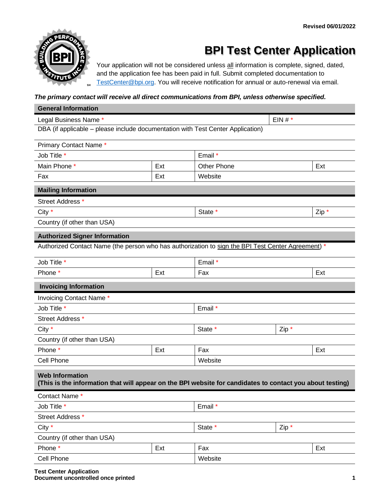

## **BPI Test Center Application**

Your application will not be considered unless all information is complete, signed, dated, and the application fee has been paid in full. Submit completed documentation to [TestCenter@bpi.org.](mailto:TestCenter@bpi.org) You will receive notification for annual or auto-renewal via email.

### *The primary contact will receive all direct communications from BPI, unless otherwise specified.*

| <b>General Information</b>                                                                                                          |     |                    |         |       |  |  |
|-------------------------------------------------------------------------------------------------------------------------------------|-----|--------------------|---------|-------|--|--|
| EIN# $*$<br>Legal Business Name *                                                                                                   |     |                    |         |       |  |  |
| DBA (if applicable – please include documentation with Test Center Application)                                                     |     |                    |         |       |  |  |
| Primary Contact Name*                                                                                                               |     |                    |         |       |  |  |
| Job Title *                                                                                                                         |     | Email *            |         |       |  |  |
| Main Phone *                                                                                                                        | Ext | <b>Other Phone</b> |         | Ext   |  |  |
| Fax                                                                                                                                 | Ext | Website            |         |       |  |  |
| <b>Mailing Information</b>                                                                                                          |     |                    |         |       |  |  |
| Street Address *                                                                                                                    |     |                    |         |       |  |  |
| City *                                                                                                                              |     | State *            |         | Zip * |  |  |
| Country (if other than USA)                                                                                                         |     |                    |         |       |  |  |
| <b>Authorized Signer Information</b>                                                                                                |     |                    |         |       |  |  |
| Authorized Contact Name (the person who has authorization to sign the BPI Test Center Agreement) *                                  |     |                    |         |       |  |  |
| Job Title *                                                                                                                         |     | Email *            |         |       |  |  |
| Phone *                                                                                                                             | Ext | Fax                |         | Ext   |  |  |
| <b>Invoicing Information</b>                                                                                                        |     |                    |         |       |  |  |
| Invoicing Contact Name*                                                                                                             |     |                    |         |       |  |  |
| Job Title *                                                                                                                         |     | Email *            |         |       |  |  |
| Street Address *                                                                                                                    |     |                    |         |       |  |  |
| City *                                                                                                                              |     | State *            | $Zip *$ |       |  |  |
| Country (if other than USA)                                                                                                         |     |                    |         |       |  |  |
| Phone *                                                                                                                             | Ext | Fax                |         | Ext   |  |  |
| Cell Phone                                                                                                                          |     | Website            |         |       |  |  |
| <b>Web Information</b><br>(This is the information that will appear on the BPI website for candidates to contact you about testing) |     |                    |         |       |  |  |
| Contact Name *                                                                                                                      |     |                    |         |       |  |  |
| Job Title *                                                                                                                         |     | Email *            |         |       |  |  |
| Street Address *                                                                                                                    |     |                    |         |       |  |  |
| City *                                                                                                                              |     | State *            | $Zip *$ |       |  |  |
| Country (if other than USA)                                                                                                         |     |                    |         |       |  |  |
| Phone *                                                                                                                             | Ext | Fax                |         | Ext   |  |  |
| Cell Phone                                                                                                                          |     | Website            |         |       |  |  |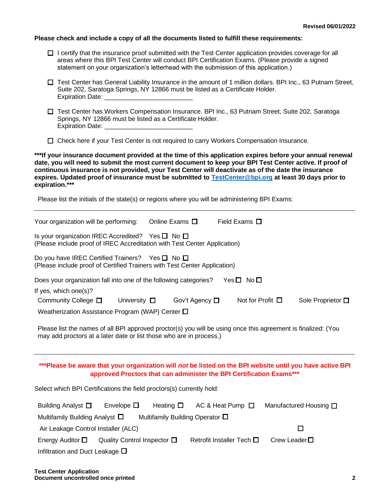#### **Please check and include a copy of all the documents listed to fulfill these requirements:**

- $\Box$  I certify that the insurance proof submitted with the Test Center application provides coverage for all areas where this BPI Test Center will conduct BPI Certification Exams. (Please provide a signed statement on your organization's letterhead with the submission of this application.)
- Test Center has General Liability Insurance in the amount of 1 million dollars. BPI Inc., 63 Putnam Street, Suite 202, Saratoga Springs, NY 12866 must be listed as a Certificate Holder. Expiration Date:
- Test Center has Workers Compensation Insurance. BPI Inc., 63 Putnam Street, Suite 202, Saratoga Springs, NY 12866 must be listed as a Certificate Holder. Expiration Date:
- $\Box$  Check here if your Test Center is not required to carry Workers Compensation Insurance.

**\*\*\*If your insurance document provided at the time of this application expires before your annual renewal date, you will need to submit the most current document to keep your BPI Test Center active. If proof of continuous insurance is not provided, your Test Center will deactivate as of the date the insurance expires. Updated proof of insurance must be submitted to [TestCenter@bpi.org](mailto:TestCenter@bpi.org) at least 30 days prior to expiration.\*\*\*** 

Please list the initials of the state(s) or regions where you will be administering BPI Exams:

| Your organization will be performing:                                                                                                                                                | Online Exams $\Box$                     |                | Field Exams $\Box$             |                    |                        |
|--------------------------------------------------------------------------------------------------------------------------------------------------------------------------------------|-----------------------------------------|----------------|--------------------------------|--------------------|------------------------|
| Is your organization IREC Accredited? Yes $\square$ No $\square$<br>(Please include proof of IREC Accreditation with Test Center Application)                                        |                                         |                |                                |                    |                        |
| Do you have IREC Certified Trainers? Yes $\square$ No $\square$<br>(Please include proof of Certified Trainers with Test Center Application)                                         |                                         |                |                                |                    |                        |
| Does your organization fall into one of the following categories?                                                                                                                    |                                         |                | $Yes \Box No \Box$             |                    |                        |
| If yes, which one(s)?<br>Community College □<br>University $\square$                                                                                                                 |                                         | Gov't Agency □ | Not for Profit $\Box$          |                    | Sole Proprietor □      |
| Weatherization Assistance Program (WAP) Center $\square$                                                                                                                             |                                         |                |                                |                    |                        |
| Please list the names of all BPI approved proctor(s) you will be using once this agreement is finalized: (You<br>may add proctors at a later date or list those who are in process.) |                                         |                |                                |                    |                        |
| ***Please be aware that your organization will not be listed on the BPI website until you have active BPI<br>approved Proctors that can administer the BPI Certification Exams***    |                                         |                |                                |                    |                        |
| Select which BPI Certifications the field proctors(s) currently hold:                                                                                                                |                                         |                |                                |                    |                        |
| Envelope $\square$<br>Building Analyst □                                                                                                                                             | Heating $\Box$                          |                | AC & Heat Pump $\Box$          |                    | Manufactured Housing □ |
| Multifamily Building Analyst $\Box$                                                                                                                                                  | Multifamily Building Operator $\square$ |                |                                |                    |                        |
| Air Leakage Control Installer (ALC)                                                                                                                                                  |                                         |                |                                |                    | $\Box$                 |
| Quality Control Inspector $\Box$<br>Energy Auditor $\square$                                                                                                                         |                                         |                | Retrofit Installer Tech $\Box$ | Crew Leader $\Box$ |                        |
| Infiltration and Duct Leakage $\Box$                                                                                                                                                 |                                         |                |                                |                    |                        |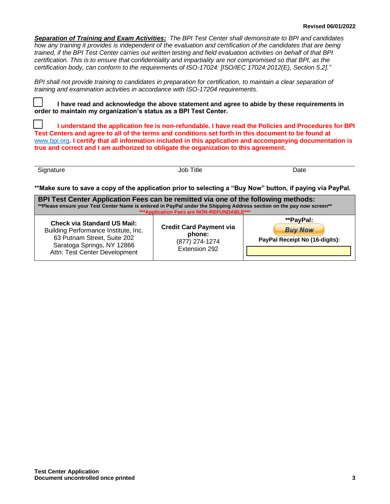*Separation of Training and Exam Activities: The BPI Test Center shall demonstrate to BPI and candidates how any training it provides is independent of the evaluation and certification of the candidates that are being trained, if the BPI Test Center carries out written testing and field evaluation activities on behalf of that BPI certification. This is to ensure that confidentiality and impartiality are not compromised so that BPI, as the certification body, can conform to the requirements of ISO-17024: [ISO/IEC 17024:2012(E), Section 5.2]."*

*BPI shall not provide training to candidates in preparation for certification, to maintain a clear separation of training and examination activities in accordance with ISO-17204 requirements*.

**I have read and acknowledge the above statement and agree to abide by these requirements in order to maintain my organization's status as a BPI Test Center.**

**I understand the application fee is non-refundable. I have read the Policies and Procedures for BPI Test Centers and agree to all of the terms and conditions set forth in this document to be found at**  [www.bpi.org](http://www.bpi.org/)**. I certify that all information included in this application and accompanying documentation is true and correct and I am authorized to obligate the organization to this agreement.**

Signature Date Date Date of the Society of the United States of Date Date Date

**\*\*Make sure to save a copy of the application prior to selecting a "Buy Now" button, if paying via PayPal.**

| BPI Test Center Application Fees can be remitted via one of the following methods:<br>**Please ensure your Test Center Name is entered in PayPal under the Shipping Address section on the pay now screen**<br>*** Application Fees are NON-REFUNDABLE*** |                                                                             |                                                               |  |  |  |
|-----------------------------------------------------------------------------------------------------------------------------------------------------------------------------------------------------------------------------------------------------------|-----------------------------------------------------------------------------|---------------------------------------------------------------|--|--|--|
| <b>Check via Standard US Mail:</b><br>Building Performance Institute, Inc.<br>63 Putnam Street, Suite 202<br>Saratoga Springs, NY 12866<br>Attn: Test Center Development                                                                                  | <b>Credit Card Payment via</b><br>phone:<br>(877) 274-1274<br>Extension 292 | **PayPal:<br><b>Buy Now</b><br>PayPal Receipt No (16-digits): |  |  |  |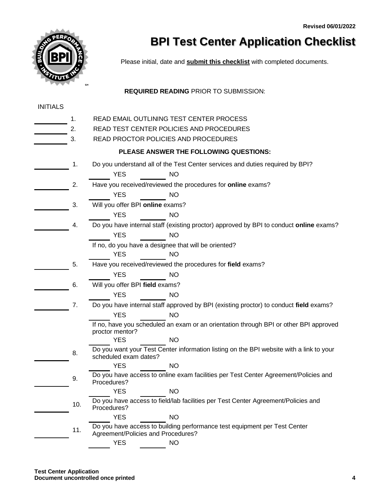

# **BPI Test Center Application Checklist**

Please initial, date and **submit this checklist** with completed documents.

### **REQUIRED READING** PRIOR TO SUBMISSION:

| <b>INITIALS</b> |     |                                                                                                                  |  |  |  |  |  |
|-----------------|-----|------------------------------------------------------------------------------------------------------------------|--|--|--|--|--|
|                 | 1.  | READ EMAIL OUTLINING TEST CENTER PROCESS                                                                         |  |  |  |  |  |
|                 | 2.  | READ TEST CENTER POLICIES AND PROCEDURES                                                                         |  |  |  |  |  |
|                 | 3.  | READ PROCTOR POLICIES AND PROCEDURES                                                                             |  |  |  |  |  |
|                 |     | PLEASE ANSWER THE FOLLOWING QUESTIONS:                                                                           |  |  |  |  |  |
|                 | 1.  | Do you understand all of the Test Center services and duties required by BPI?                                    |  |  |  |  |  |
|                 |     | <b>YES</b><br><b>NO</b>                                                                                          |  |  |  |  |  |
|                 | 2.  | Have you received/reviewed the procedures for online exams?                                                      |  |  |  |  |  |
|                 |     | <b>YES</b><br><b>NO</b>                                                                                          |  |  |  |  |  |
|                 | 3.  | Will you offer BPI online exams?                                                                                 |  |  |  |  |  |
|                 |     | <b>NO</b><br><b>YES</b>                                                                                          |  |  |  |  |  |
|                 | 4.  | Do you have internal staff (existing proctor) approved by BPI to conduct online exams?                           |  |  |  |  |  |
|                 |     | <b>YES</b><br><b>NO</b>                                                                                          |  |  |  |  |  |
|                 |     | If no, do you have a designee that will be oriented?                                                             |  |  |  |  |  |
|                 |     | <b>YES</b><br><b>NO</b>                                                                                          |  |  |  |  |  |
|                 | 5.  | Have you received/reviewed the procedures for field exams?                                                       |  |  |  |  |  |
|                 |     | <b>YES</b><br><b>NO</b>                                                                                          |  |  |  |  |  |
|                 | 6.  | Will you offer BPI field exams?                                                                                  |  |  |  |  |  |
|                 |     | <b>YES</b><br><b>NO</b>                                                                                          |  |  |  |  |  |
|                 | 7.  | Do you have internal staff approved by BPI (existing proctor) to conduct field exams?                            |  |  |  |  |  |
|                 |     | <b>YES</b><br><b>NO</b>                                                                                          |  |  |  |  |  |
|                 |     | If no, have you scheduled an exam or an orientation through BPI or other BPI approved<br>proctor mentor?         |  |  |  |  |  |
|                 |     | <b>YES</b><br><b>NO</b>                                                                                          |  |  |  |  |  |
|                 | 8.  | Do you want your Test Center information listing on the BPI website with a link to your<br>scheduled exam dates? |  |  |  |  |  |
|                 |     | <b>YES</b><br><b>NO</b>                                                                                          |  |  |  |  |  |
|                 | 9.  | Do you have access to online exam facilities per Test Center Agreement/Policies and<br>Procedures?               |  |  |  |  |  |
|                 |     | <b>YES</b><br><b>NO</b>                                                                                          |  |  |  |  |  |
|                 | 10. | Do you have access to field/lab facilities per Test Center Agreement/Policies and<br>Procedures?                 |  |  |  |  |  |
|                 |     | <b>YES</b><br><b>NO</b>                                                                                          |  |  |  |  |  |
|                 | 11. | Do you have access to building performance test equipment per Test Center<br>Agreement/Policies and Procedures?  |  |  |  |  |  |
|                 |     | <b>YES</b><br><b>NO</b>                                                                                          |  |  |  |  |  |